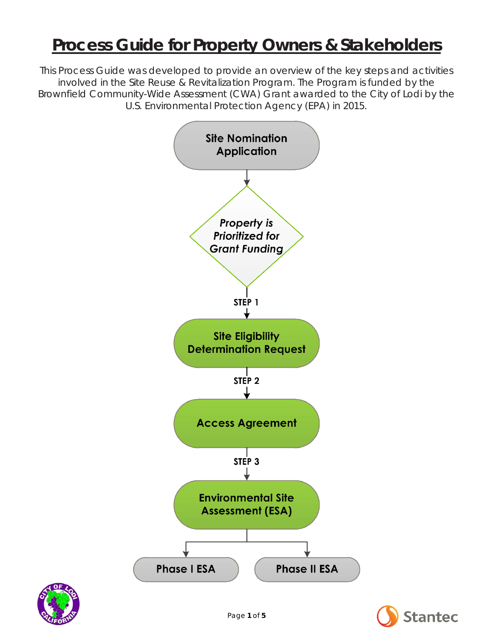# **Process Guide for Property Owners & Stakeholders**

*This Process Guide was developed to provide an overview of the key steps and activities involved in the Site Reuse & Revitalization Program. The Program is funded by the Brownfield Community-Wide Assessment (CWA) Grant awarded to the City of Lodi by the U.S. Environmental Protection Agency (EPA) in 2015.*





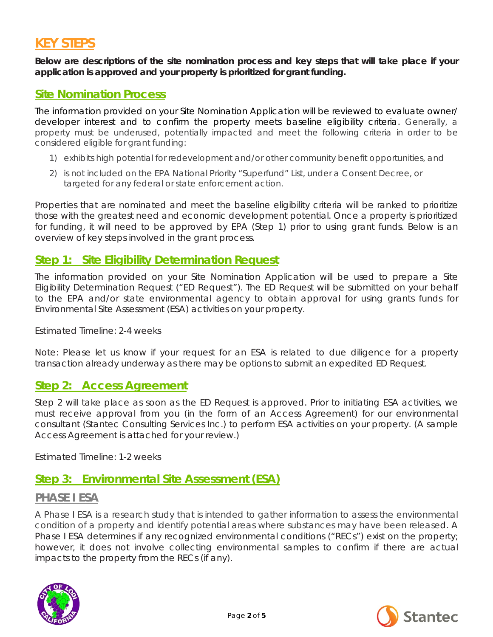# **KEY STEPS**

**Below are descriptions of the site nomination process and key steps that will take place if your application is approved and your property is prioritized for grant funding.**

### **Site Nomination Process**

The information provided on your Site Nomination Application will be reviewed to evaluate owner/ developer interest and to confirm the property meets baseline eligibility criteria. Generally, a property must be underused, potentially impacted and meet the following criteria in order to be considered eligible for grant funding:

- 1) exhibits high potential for redevelopment and/or other community benefit opportunities, and
- 2) is not included on the EPA National Priority "Superfund" List, under a Consent Decree, or targeted for any federal or state enforcement action.

Properties that are nominated and meet the baseline eligibility criteria will be ranked to prioritize those with the greatest need and economic development potential. Once a property is prioritized for funding, it will need to be approved by EPA (Step 1) prior to using grant funds. Below is an overview of key steps involved in the grant process.

### **Step 1: Site Eligibility Determination Request**

The information provided on your Site Nomination Application will be used to prepare a Site Eligibility Determination Request ("ED Request"). The ED Request will be submitted on your behalf to the EPA and/or state environmental agency to obtain approval for using grants funds for Environmental Site Assessment (ESA) activities on your property.

Estimated Timeline: 2-4 weeks

*Note: Please let us know if your request for an ESA is related to due diligence for a property transaction already underway as there may be options to submit an expedited ED Request.*

### **Step 2: Access Agreement**

Step 2 will take place as soon as the ED Request is approved. Prior to initiating ESA activities, we must receive approval from you (in the form of an Access Agreement) for our environmental consultant (Stantec Consulting Services Inc.) to perform ESA activities on your property. (A sample Access Agreement is attached for your review.)

Estimated Timeline: 1-2 weeks

### **Step 3: Environmental Site Assessment (ESA)**

### **PHASE I ESA**

A Phase I ESA is a research study that is intended to gather information to assess the environmental condition of a property and identify potential areas where substances may have been released. A Phase I ESA determines if any recognized environmental conditions ("RECs") exist on the property; however, it does not involve collecting environmental samples to confirm if there are actual impacts to the property from the RECs (if any).



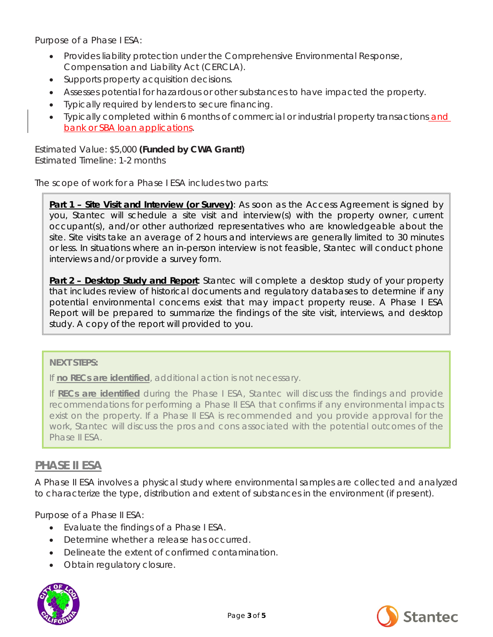Purpose of a Phase I ESA:

- Provides liability protection under the Comprehensive Environmental Response, Compensation and Liability Act (CERCLA).
- Supports property acquisition decisions.
- Assesses potential for hazardous or other substances to have impacted the property.
- Typically required by lenders to secure financing.
- Typically completed within 6 months of commercial or industrial property transactions and bank or SBA loan applications.

Estimated Value: \$5,000 *(Funded by CWA Grant!)* Estimated Timeline: 1-2 months

The scope of work for a Phase I ESA includes two parts:

**Part 1 - Site Visit and Interview (or Survey)**: As soon as the Access Agreement is signed by you, Stantec will schedule a site visit and interview(s) with the property owner, current occupant(s), and/or other authorized representatives who are knowledgeable about the site. Site visits take an average of 2 hours and interviews are generally limited to 30 minutes or less. In situations where an in-person interview is not feasible, Stantec will conduct phone interviews and/or provide a survey form.

**Part 2 – Desktop Study and Report**: Stantec will complete a desktop study of your property that includes review of historical documents and regulatory databases to determine if any potential environmental concerns exist that may impact property reuse. A Phase I ESA Report will be prepared to summarize the findings of the site visit, interviews, and desktop study. A copy of the report will provided to you.

### **NEXT STEPS:**

If *no RECs are identified*, additional action is not necessary.

If *RECs are identified* during the Phase I ESA, Stantec will discuss the findings and provide recommendations for performing a Phase II ESA that confirms if any environmental impacts exist on the property. If a Phase II ESA is recommended and you provide approval for the work, Stantec will discuss the pros and cons associated with the potential outcomes of the Phase II ESA.

### **PHASE II ESA**

A Phase II ESA involves a physical study where environmental samples are collected and analyzed to characterize the type, distribution and extent of substances in the environment (if present).

Purpose of a Phase II ESA:

- Evaluate the findings of a Phase I ESA.
- Determine whether a release has occurred
- Delineate the extent of confirmed contamination.
- Obtain regulatory closure.



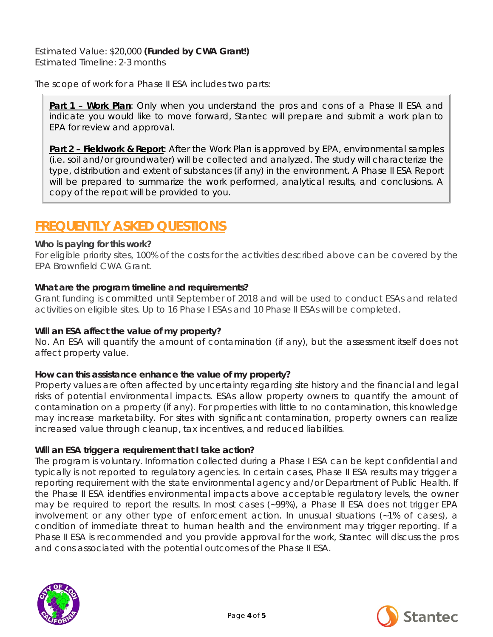Estimated Value: \$20,000 *(Funded by CWA Grant!)* Estimated Timeline: 2-3 months

The scope of work for a Phase II ESA includes two parts:

**Part 1 - Work Plan**: Only when you understand the pros and cons of a Phase II ESA and indicate you would like to move forward, Stantec will prepare and submit a work plan to EPA for review and approval.

**Part 2 – Fieldwork & Report**: After the Work Plan is approved by EPA, environmental samples (i.e. soil and/or groundwater) will be collected and analyzed. The study will characterize the type, distribution and extent of substances (if any) in the environment. A Phase II ESA Report will be prepared to summarize the work performed, analytical results, and conclusions. A copy of the report will be provided to you.

# **FREQUENTLY ASKED QUESTIONS**

### *Who is paying for this work?*

For eligible priority sites, 100% of the costs for the activities described above can be covered by the EPA Brownfield CWA Grant.

### *What are the program timeline and requirements?*

Grant funding is committed until September of 2018 and will be used to conduct ESAs and related activities on eligible sites. Up to 16 Phase I ESAs and 10 Phase II ESAs will be completed.

#### *Will an ESA affect the value of my property?*

No. An ESA will quantify the amount of contamination (if any), but the assessment itself does not affect property value.

### *How can this assistance enhance the value of my property?*

Property values are often affected by uncertainty regarding site history and the financial and legal risks of potential environmental impacts. ESAs allow property owners to quantify the amount of contamination on a property (if any). For properties with little to no contamination, this knowledge may increase marketability. For sites with significant contamination, property owners can realize increased value through cleanup, tax incentives, and reduced liabilities.

#### *Will an ESA trigger a requirement that I take action?*

The program is voluntary. Information collected during a Phase I ESA can be kept confidential and typically is not reported to regulatory agencies. In certain cases, Phase II ESA results may trigger a reporting requirement with the state environmental agency and/or Department of Public Health. If the Phase II ESA identifies environmental impacts above acceptable regulatory levels, the owner may be required to report the results. In most cases (~99%), a Phase II ESA does not trigger EPA involvement or any other type of enforcement action. In unusual situations (~1% of cases), a condition of immediate threat to human health and the environment may trigger reporting. If a Phase II ESA is recommended and you provide approval for the work, Stantec will discuss the pros and cons associated with the potential outcomes of the Phase II ESA.